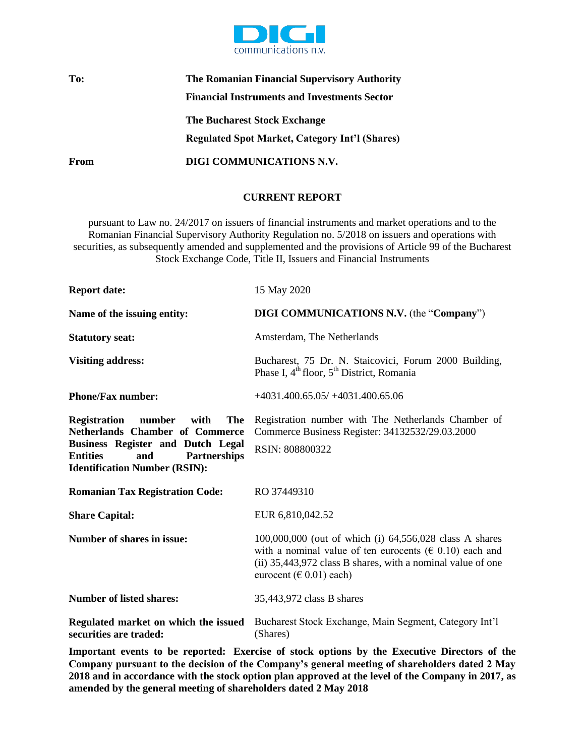

## **To: The Romanian Financial Supervisory Authority Financial Instruments and Investments Sector The Bucharest Stock Exchange Regulated Spot Market, Category Int'l (Shares) From DIGI COMMUNICATIONS N.V.**

## **CURRENT REPORT**

pursuant to Law no. 24/2017 on issuers of financial instruments and market operations and to the Romanian Financial Supervisory Authority Regulation no. 5/2018 on issuers and operations with securities, as subsequently amended and supplemented and the provisions of Article 99 of the Bucharest Stock Exchange Code, Title II, Issuers and Financial Instruments

| <b>Report date:</b>                                                                                                                                                                                                         | 15 May 2020                                                                                                                                                                                                                 |
|-----------------------------------------------------------------------------------------------------------------------------------------------------------------------------------------------------------------------------|-----------------------------------------------------------------------------------------------------------------------------------------------------------------------------------------------------------------------------|
| Name of the issuing entity:                                                                                                                                                                                                 | <b>DIGI COMMUNICATIONS N.V.</b> (the "Company")                                                                                                                                                                             |
| <b>Statutory seat:</b>                                                                                                                                                                                                      | Amsterdam, The Netherlands                                                                                                                                                                                                  |
| <b>Visiting address:</b>                                                                                                                                                                                                    | Bucharest, 75 Dr. N. Staicovici, Forum 2000 Building,<br>Phase I, 4 <sup>th</sup> floor, 5 <sup>th</sup> District, Romania                                                                                                  |
| <b>Phone/Fax number:</b>                                                                                                                                                                                                    | $+4031.400.65.05/ +4031.400.65.06$                                                                                                                                                                                          |
| number<br><b>The</b><br><b>Registration</b><br>with<br>Netherlands Chamber of Commerce<br><b>Business Register and Dutch Legal</b><br><b>Entities</b><br><b>Partnerships</b><br>and<br><b>Identification Number (RSIN):</b> | Registration number with The Netherlands Chamber of<br>Commerce Business Register: 34132532/29.03.2000<br>RSIN: 808800322                                                                                                   |
| <b>Romanian Tax Registration Code:</b>                                                                                                                                                                                      | RO 37449310                                                                                                                                                                                                                 |
| <b>Share Capital:</b>                                                                                                                                                                                                       | EUR 6,810,042.52                                                                                                                                                                                                            |
| <b>Number of shares in issue:</b>                                                                                                                                                                                           | 100,000,000 (out of which (i) 64,556,028 class A shares<br>with a nominal value of ten eurocents ( $\epsilon$ 0.10) each and<br>(ii) 35,443,972 class B shares, with a nominal value of one<br>eurocent ( $\in$ 0.01) each) |
| <b>Number of listed shares:</b>                                                                                                                                                                                             | 35,443,972 class B shares                                                                                                                                                                                                   |
| Regulated market on which the issued<br>securities are traded:                                                                                                                                                              | Bucharest Stock Exchange, Main Segment, Category Int'l<br>(Shares)                                                                                                                                                          |

**Important events to be reported: Exercise of stock options by the Executive Directors of the Company pursuant to the decision of the Company's general meeting of shareholders dated 2 May 2018 and in accordance with the stock option plan approved at the level of the Company in 2017, as amended by the general meeting of shareholders dated 2 May 2018**